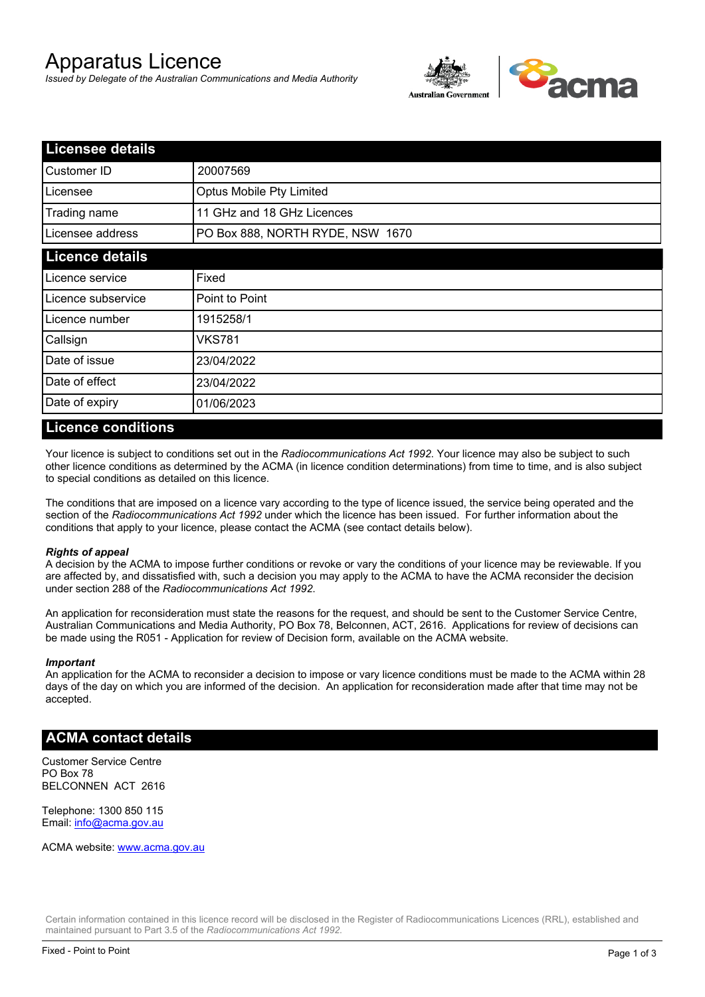# Apparatus Licence

*Issued by Delegate of the Australian Communications and Media Authority*



| <b>Licensee details</b> |                                  |  |
|-------------------------|----------------------------------|--|
| Customer ID             | 20007569                         |  |
| Licensee                | <b>Optus Mobile Pty Limited</b>  |  |
| Trading name            | 11 GHz and 18 GHz Licences       |  |
| Licensee address        | PO Box 888, NORTH RYDE, NSW 1670 |  |
| <b>Licence details</b>  |                                  |  |
| Licence service         | Fixed                            |  |
| Licence subservice      | Point to Point                   |  |
| Licence number          | 1915258/1                        |  |
| Callsign                | VKS781                           |  |
| Date of issue           | 23/04/2022                       |  |
| Date of effect          | 23/04/2022                       |  |
| Date of expiry          | 01/06/2023                       |  |

#### **Licence conditions**

Your licence is subject to conditions set out in the *Radiocommunications Act 1992*. Your licence may also be subject to such other licence conditions as determined by the ACMA (in licence condition determinations) from time to time, and is also subject to special conditions as detailed on this licence.

The conditions that are imposed on a licence vary according to the type of licence issued, the service being operated and the section of the *Radiocommunications Act 1992* under which the licence has been issued. For further information about the conditions that apply to your licence, please contact the ACMA (see contact details below).

#### *Rights of appeal*

A decision by the ACMA to impose further conditions or revoke or vary the conditions of your licence may be reviewable. If you are affected by, and dissatisfied with, such a decision you may apply to the ACMA to have the ACMA reconsider the decision under section 288 of the *Radiocommunications Act 1992*.

An application for reconsideration must state the reasons for the request, and should be sent to the Customer Service Centre, Australian Communications and Media Authority, PO Box 78, Belconnen, ACT, 2616. Applications for review of decisions can be made using the R051 - Application for review of Decision form, available on the ACMA website.

#### *Important*

An application for the ACMA to reconsider a decision to impose or vary licence conditions must be made to the ACMA within 28 days of the day on which you are informed of the decision. An application for reconsideration made after that time may not be accepted.

#### **ACMA contact details**

Customer Service Centre PO Box 78 BELCONNEN ACT 2616

Telephone: 1300 850 115 Email: info@acma.gov.au

ACMA website: www.acma.gov.au

Certain information contained in this licence record will be disclosed in the Register of Radiocommunications Licences (RRL), established and maintained pursuant to Part 3.5 of the *Radiocommunications Act 1992.*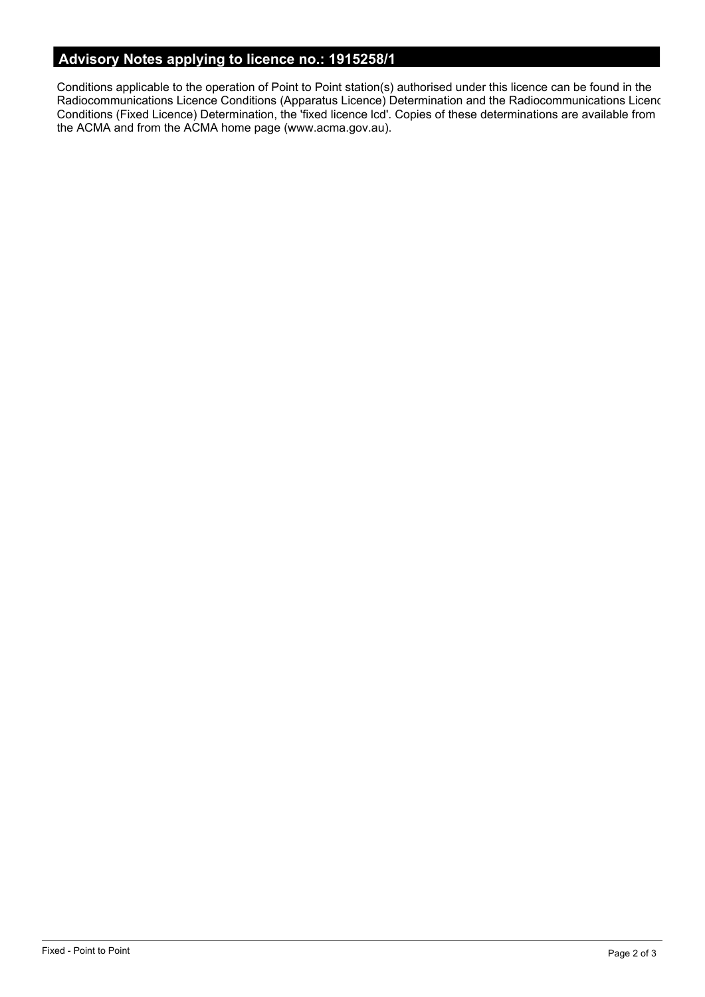# **Advisory Notes applying to licence no.: 1915258/1**

Conditions applicable to the operation of Point to Point station(s) authorised under this licence can be found in the Radiocommunications Licence Conditions (Apparatus Licence) Determination and the Radiocommunications Licence Conditions (Fixed Licence) Determination, the 'fixed licence lcd'. Copies of these determinations are available from the ACMA and from the ACMA home page (www.acma.gov.au).